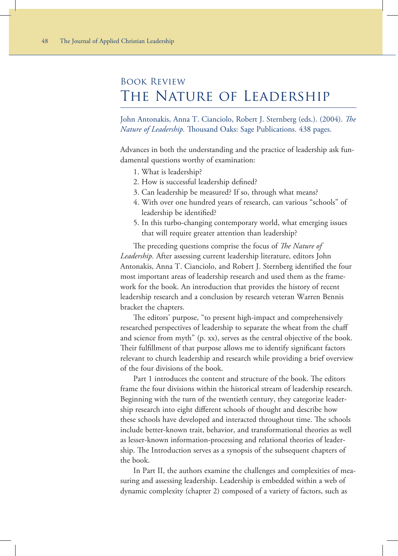## Book Review The Nature of Leadership

John Antonakis, Anna T. Cianciolo, Robert J. Sternberg (eds.). (2004). *The Nature of Leadership.* Thousand Oaks: Sage Publications. 438 pages.

Advances in both the understanding and the practice of leadership ask fundamental questions worthy of examination:

- 1. What is leadership?
- 2. How is successful leadership defined?
- 3. Can leadership be measured? If so, through what means?
- 4. With over one hundred years of research, can various "schools" of leadership be identified?
- 5. In this turbo-changing contemporary world, what emerging issues that will require greater attention than leadership?

The preceding questions comprise the focus of *The Nature of Leadership.* After assessing current leadership literature, editors John Antonakis, Anna T. Cianciolo, and Robert J. Sternberg identified the four most important areas of leadership research and used them as the framework for the book. An introduction that provides the history of recent leadership research and a conclusion by research veteran Warren Bennis bracket the chapters.

The editors' purpose, "to present high-impact and comprehensively researched perspectives of leadership to separate the wheat from the chaff and science from myth" (p. xx), serves as the central objective of the book. Their fulfillment of that purpose allows me to identify significant factors relevant to church leadership and research while providing a brief overview of the four divisions of the book.

Part 1 introduces the content and structure of the book. The editors frame the four divisions within the historical stream of leadership research. Beginning with the turn of the twentieth century, they categorize leadership research into eight different schools of thought and describe how these schools have developed and interacted throughout time. The schools include better-known trait, behavior, and transformational theories as well as lesser-known information-processing and relational theories of leadership. The Introduction serves as a synopsis of the subsequent chapters of the book.

In Part II, the authors examine the challenges and complexities of measuring and assessing leadership. Leadership is embedded within a web of dynamic complexity (chapter 2) composed of a variety of factors, such as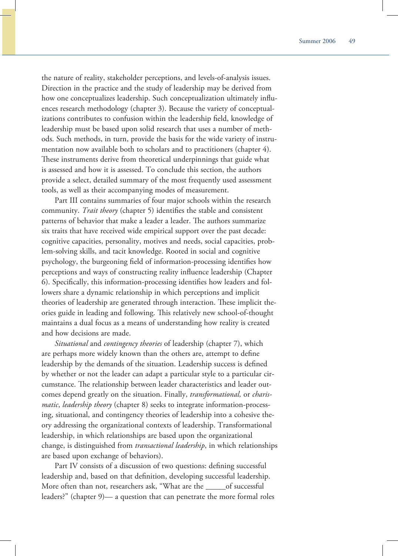the nature of reality, stakeholder perceptions, and levels-of-analysis issues. Direction in the practice and the study of leadership may be derived from how one conceptualizes leadership. Such conceptualization ultimately influences research methodology (chapter 3). Because the variety of conceptualizations contributes to confusion within the leadership field, knowledge of leadership must be based upon solid research that uses a number of methods. Such methods, in turn, provide the basis for the wide variety of instrumentation now available both to scholars and to practitioners (chapter 4). These instruments derive from theoretical underpinnings that guide what is assessed and how it is assessed. To conclude this section, the authors provide a select, detailed summary of the most frequently used assessment tools, as well as their accompanying modes of measurement.

Part III contains summaries of four major schools within the research community. *Trait theory* (chapter 5) identifies the stable and consistent patterns of behavior that make a leader a leader. The authors summarize six traits that have received wide empirical support over the past decade: cognitive capacities, personality, motives and needs, social capacities, problem-solving skills, and tacit knowledge. Rooted in social and cognitive psychology, the burgeoning field of information-processing identifies how perceptions and ways of constructing reality influence leadership (Chapter 6). Specifically, this information-processing identifies how leaders and followers share a dynamic relationship in which perceptions and implicit theories of leadership are generated through interaction. These implicit theories guide in leading and following. This relatively new school-of-thought maintains a dual focus as a means of understanding how reality is created and how decisions are made.

*Situational* and *contingency theories* of leadership (chapter 7), which are perhaps more widely known than the others are, attempt to define leadership by the demands of the situation. Leadership success is defined by whether or not the leader can adapt a particular style to a particular circumstance. The relationship between leader characteristics and leader outcomes depend greatly on the situation. Finally, *transformational,* or *charismatic*, *leadership theory* (chapter 8) seeks to integrate information-processing, situational, and contingency theories of leadership into a cohesive theory addressing the organizational contexts of leadership. Transformational leadership, in which relationships are based upon the organizational change, is distinguished from *transactional leadership*, in which relationships are based upon exchange of behaviors).

Part IV consists of a discussion of two questions: defining successful leadership and, based on that definition, developing successful leadership. More often than not, researchers ask, "What are the \_\_\_\_\_of successful leaders?" (chapter 9)— a question that can penetrate the more formal roles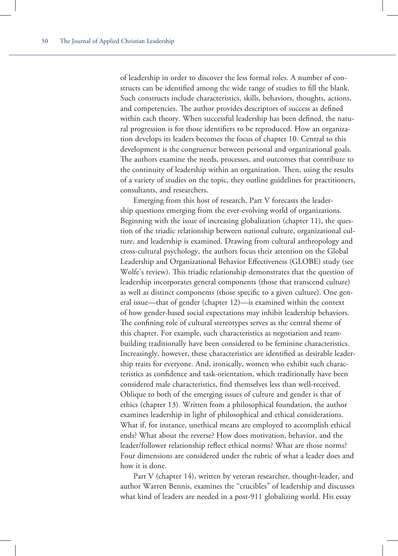of leadership in order to discover the less formal roles. A number of constructs can be identified among the wide range of studies to fill the blank. Such constructs include characteristics, skills, behaviors, thoughts, actions, and competencies. The author provides descriptors of success as defined within each theory. When successful leadership has been defined, the natural progression is for those identifiers to be reproduced. How an organization develops its leaders becomes the focus of chapter 10. Central to this development is the congruence between personal and organizational goals. The authors examine the needs, processes, and outcomes that contribute to the continuity of leadership within an organization. Then, using the results of a variety of studies on the topic, they outline guidelines for practitioners, consultants, and researchers.

Emerging from this host of research, Part V forecasts the leadership questions emerging from the ever-evolving world of organizations. Beginning with the issue of increasing globalization (chapter 11), the question of the triadic relationship between national culture, organizational culture, and leadership is examined. Drawing from cultural anthropology and cross-cultural psychology, the authors focus their attention on the Global Leadership and Organizational Behavior Effectiveness (GLOBE) study (see Wolfe's review). This triadic relationship demonstrates that the question of leadership incorporates general components (those that transcend culture) as well as distinct components (those specific to a given culture). One general issue—that of gender (chapter 12)—is examined within the context of how gender-based social expectations may inhibit leadership behaviors. The confining role of cultural stereotypes serves as the central theme of this chapter. For example, such characteristics as negotiation and teambuilding traditionally have been considered to be feminine characteristics. Increasingly, however, these characteristics are identified as desirable leadership traits for everyone. And, ironically, women who exhibit such characteristics as confidence and task-orientation, which traditionally have been considered male characteristics, find themselves less than well-received. Oblique to both of the emerging issues of culture and gender is that of ethics (chapter 13). Written from a philosophical foundation, the author examines leadership in light of philosophical and ethical considerations. What if, for instance, unethical means are employed to accomplish ethical ends? What about the reverse? How does motivation, behavior, and the leader/follower relationship reflect ethical norms? What are those norms? Four dimensions are considered under the rubric of what a leader does and how it is done.

Part V (chapter 14), written by veteran researcher, thought-leader, and author Warren Bennis, examines the "crucibles" of leadership and discusses what kind of leaders are needed in a post-911 globalizing world. His essay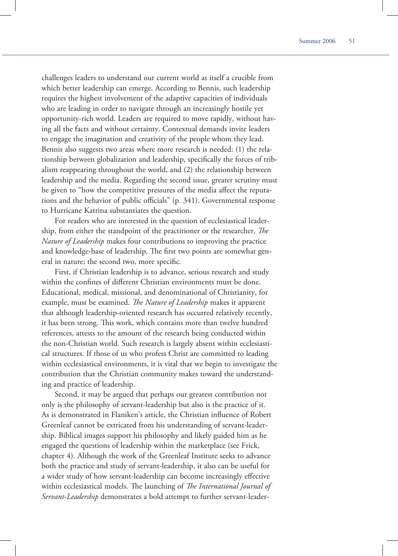challenges leaders to understand our current world as itself a crucible from which better leadership can emerge. According to Bennis, such leadership requires the highest involvement of the adaptive capacities of individuals who are leading in order to navigate through an increasingly hostile yet opportunity-rich world. Leaders are required to move rapidly, without having all the facts and without certainty. Contextual demands invite leaders to engage the imagination and creativity of the people whom they lead. Bennis also suggests two areas where more research is needed: (1) the relationship between globalization and leadership, specifically the forces of tribalism reappearing throughout the world, and (2) the relationship between leadership and the media. Regarding the second issue, greater scrutiny must be given to "how the competitive pressures of the media affect the reputations and the behavior of public officials" (p. 341). Governmental response to Hurricane Katrina substantiates the question.

For readers who are interested in the question of ecclesiastical leadership, from either the standpoint of the practitioner or the researcher, *The Nature of Leadership* makes four contributions to improving the practice and knowledge-base of leadership. The first two points are somewhat general in nature; the second two, more specific.

First, if Christian leadership is to advance, serious research and study within the confines of different Christian environments must be done. Educational, medical, missional, and denominational of Christianity, for example, must be examined. *The Nature of Leadership* makes it apparent that although leadership-oriented research has occurred relatively recently, it has been strong. This work, which contains more than twelve hundred references, attests to the amount of the research being conducted within the non-Christian world. Such research is largely absent within ecclesiastical structures. If those of us who profess Christ are committed to leading within ecclesiastical environments, it is vital that we begin to investigate the contribution that the Christian community makes toward the understanding and practice of leadership.

Second, it may be argued that perhaps our greatest contribution not only is the philosophy of servant-leadership but also is the practice of it. As is demonstrated in Flaniken's article, the Christian influence of Robert Greenleaf cannot be extricated from his understanding of servant-leadership. Biblical images support his philosophy and likely guided him as he engaged the questions of leadership within the marketplace (see Frick, chapter 4). Although the work of the Greenleaf Institute seeks to advance both the practice and study of servant-leadership, it also can be useful for a wider study of how servant-leadership can become increasingly effective within ecclesiastical models. The launching of *The International Journal of Servant-Leadership* demonstrates a bold attempt to further servant-leader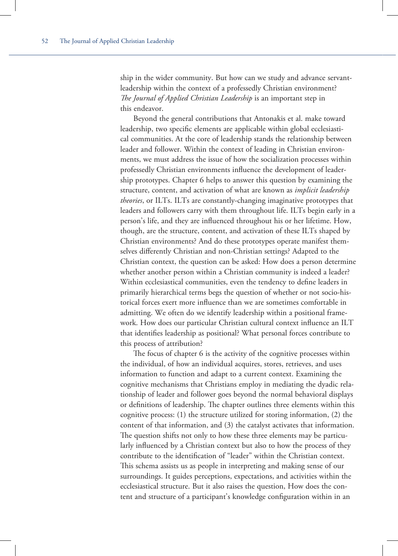ship in the wider community. But how can we study and advance servantleadership within the context of a professedly Christian environment? *The Journal of Applied Christian Leadership* is an important step in this endeavor.

Beyond the general contributions that Antonakis et al. make toward leadership, two specific elements are applicable within global ecclesiastical communities. At the core of leadership stands the relationship between leader and follower. Within the context of leading in Christian environments, we must address the issue of how the socialization processes within professedly Christian environments influence the development of leadership prototypes. Chapter 6 helps to answer this question by examining the structure, content, and activation of what are known as *implicit leadership theories*, or ILTs. ILTs are constantly-changing imaginative prototypes that leaders and followers carry with them throughout life. ILTs begin early in a person's life, and they are influenced throughout his or her lifetime. How, though, are the structure, content, and activation of these ILTs shaped by Christian environments? And do these prototypes operate manifest themselves differently Christian and non-Christian settings? Adapted to the Christian context, the question can be asked: How does a person determine whether another person within a Christian community is indeed a leader? Within ecclesiastical communities, even the tendency to define leaders in primarily hierarchical terms begs the question of whether or not socio-historical forces exert more influence than we are sometimes comfortable in admitting. We often do we identify leadership within a positional framework. How does our particular Christian cultural context influence an ILT that identifies leadership as positional? What personal forces contribute to this process of attribution?

The focus of chapter 6 is the activity of the cognitive processes within the individual, of how an individual acquires, stores, retrieves, and uses information to function and adapt to a current context. Examining the cognitive mechanisms that Christians employ in mediating the dyadic relationship of leader and follower goes beyond the normal behavioral displays or definitions of leadership. The chapter outlines three elements within this cognitive process: (1) the structure utilized for storing information, (2) the content of that information, and (3) the catalyst activates that information. The question shifts not only to how these three elements may be particularly influenced by a Christian context but also to how the process of they contribute to the identification of "leader" within the Christian context. This schema assists us as people in interpreting and making sense of our surroundings. It guides perceptions, expectations, and activities within the ecclesiastical structure. But it also raises the question, How does the content and structure of a participant's knowledge configuration within in an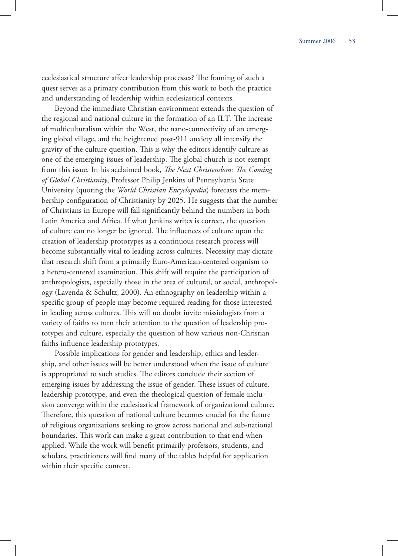ecclesiastical structure affect leadership processes? The framing of such a quest serves as a primary contribution from this work to both the practice and understanding of leadership within ecclesiastical contexts.

Beyond the immediate Christian environment extends the question of the regional and national culture in the formation of an ILT. The increase of multiculturalism within the West, the nano-connectivity of an emerging global village, and the heightened post-911 anxiety all intensify the gravity of the culture question. This is why the editors identify culture as one of the emerging issues of leadership. The global church is not exempt from this issue. In his acclaimed book, *The Next Christendom: The Coming of Global Christianity*, Professor Philip Jenkins of Pennsylvania State University (quoting the *World Christian Encyclopedia*) forecasts the membership configuration of Christianity by 2025. He suggests that the number of Christians in Europe will fall significantly behind the numbers in both Latin America and Africa. If what Jenkins writes is correct, the question of culture can no longer be ignored. The influences of culture upon the creation of leadership prototypes as a continuous research process will become substantially vital to leading across cultures. Necessity may dictate that research shift from a primarily Euro-American-centered organism to a hetero-centered examination. This shift will require the participation of anthropologists, especially those in the area of cultural, or social, anthropology (Lavenda & Schultz, 2000). An ethnography on leadership within a specific group of people may become required reading for those interested in leading across cultures. This will no doubt invite missiologists from a variety of faiths to turn their attention to the question of leadership prototypes and culture, especially the question of how various non-Christian faiths influence leadership prototypes.

Possible implications for gender and leadership, ethics and leadership, and other issues will be better understood when the issue of culture is appropriated to such studies. The editors conclude their section of emerging issues by addressing the issue of gender. These issues of culture, leadership prototype, and even the theological question of female-inclusion converge within the ecclesiastical framework of organizational culture. Therefore, this question of national culture becomes crucial for the future of religious organizations seeking to grow across national and sub-national boundaries. This work can make a great contribution to that end when applied. While the work will benefit primarily professors, students, and scholars, practitioners will find many of the tables helpful for application within their specific context.